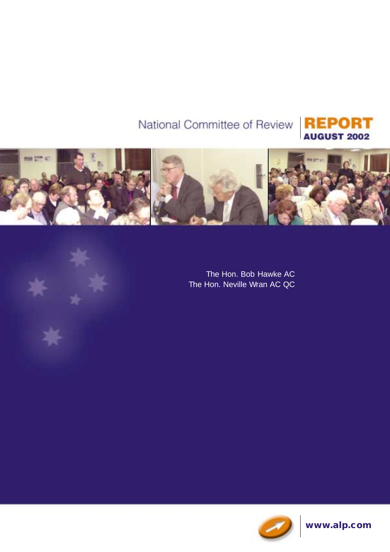## National Committee of Review







The Hon. Bob Hawke AC The Hon. Neville Wran AC QC



**www.alp.com**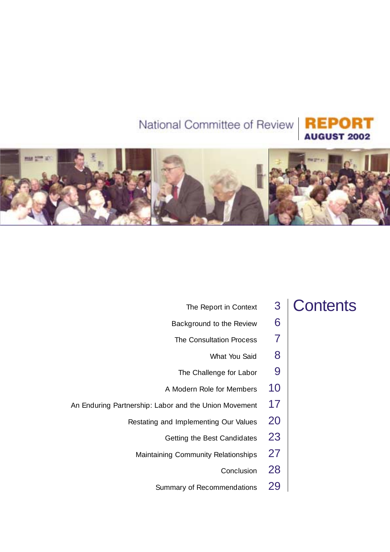## National Committee of Review





## **Contents**

- Background to the Review  $\overline{6}$
- The Consultation Process 7
	- What You Said  $8$

The Report in Context 3

- The Challenge for Labor 9
- A Modern Role for Members 10
- An Enduring Partnership: Labor and the Union Movement 17
	- Restating and Implementing Our Values 20
		- Getting the Best Candidates 23
		- Maintaining Community Relationships 27
			- Conclusion 28
			- Summary of Recommendations 29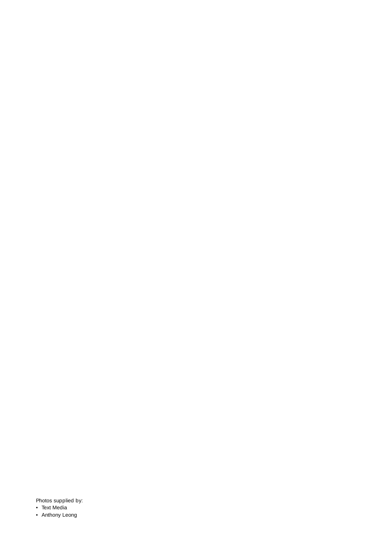Photos supplied by:

• Text Media

• Anthony Leong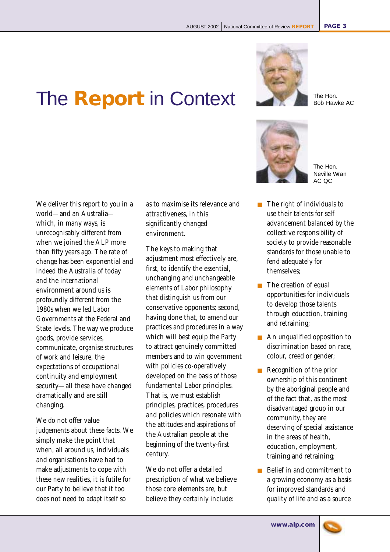



The Hon. Bob Hawke AC



The Hon. Neville Wran AC QC

- We deliver this report to you in a world—and an Australia which, in many ways, is unrecognisably different from when we joined the ALP more than fifty years ago. The rate of change has been exponential and indeed the Australia of today and the international environment around us is profoundly different from the 1980s when we led Labor Governments at the Federal and State levels. The way we produce goods, provide services, communicate, organise structures of work and leisure, the expectations of occupational continuity and employment security—all these have changed dramatically and are still changing.
- We do not offer value judgements about these facts. We simply make the point that when, all around us, individuals and organisations have had to make adjustments to cope with these new realities, it is futile for our Party to believe that it too does not need to adapt itself so

as to maximise its relevance and attractiveness, in this significantly changed environment.

The keys to making that adjustment most effectively are, first, to identify the essential, unchanging and unchangeable elements of Labor philosophy that distinguish us from our conservative opponents; second, having done that, to amend our practices and procedures in a way which will best equip the Party to attract genuinely committed members and to win government with policies co-operatively developed on the basis of those fundamental Labor principles. That is, we must establish principles, practices, procedures and policies which resonate with the attitudes and aspirations of the Australian people at the beginning of the twenty-first century.

We do not offer a detailed prescription of what we believe those core elements are, but believe they certainly include:

- The right of individuals to use their talents for self advancement balanced by the collective responsibility of society to provide reasonable standards for those unable to fend adequately for themselves;
- The creation of equal opportunities for individuals to develop those talents through education, training and retraining;
- An unqualified opposition to discrimination based on race, colour, creed or gender;
- Recognition of the prior ownership of this continent by the aboriginal people and of the fact that, as the most disadvantaged group in our community, they are deserving of special assistance in the areas of health, education, employment, training and retraining;
- Belief in and commitment to a growing economy as a basis for improved standards and quality of life and as a source

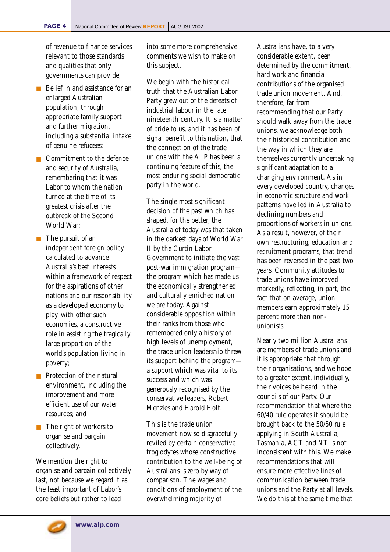of revenue to finance services relevant to those standards and qualities that only governments can provide;

- Belief in and assistance for an enlarged Australian population, through appropriate family support and further migration, including a substantial intake of genuine refugees;
- Commitment to the defence and security of Australia, remembering that it was Labor to whom the nation turned at the time of its greatest crisis after the outbreak of the Second World War;
- The pursuit of an independent foreign policy calculated to advance Australia's best interests within a framework of respect for the aspirations of other nations and our responsibility as a developed economy to play, with other such economies, a constructive role in assisting the tragically large proportion of the world's population living in poverty;
- Protection of the natural environment, including the improvement and more efficient use of our water resources; and
- The right of workers to organise and bargain collectively.

We mention the right to organise and bargain collectively last, not because we regard it as the least important of Labor's core beliefs but rather to lead

into some more comprehensive comments we wish to make on this subject.

We begin with the historical truth that the Australian Labor Party grew out of the defeats of industrial labour in the late nineteenth century. It is a matter of pride to us, and it has been of signal benefit to this nation, that the connection of the trade unions with the ALP has been a continuing feature of this, the most enduring social democratic party in the world.

The single most significant decision of the past which has shaped, for the better, the Australia of today was that taken in the darkest days of World War II by the Curtin Labor Government to initiate the vast post-war immigration program the program which has made us the economically strengthened and culturally enriched nation we are today. Against considerable opposition within their ranks from those who remembered only a history of high levels of unemployment, the trade union leadership threw its support behind the program a support which was vital to its success and which was generously recognised by the conservative leaders, Robert Menzies and Harold Holt.

This is the trade union movement now so disgracefully reviled by certain conservative troglodytes whose constructive contribution to the well-being of Australians is zero by way of comparison. The wages and conditions of employment of the overwhelming majority of

Australians have, to a very considerable extent, been determined by the commitment, hard work and financial contributions of the organised trade union movement. And, therefore, far from recommending that our Party should walk away from the trade unions, we acknowledge both their historical contribution and the way in which they are themselves currently undertaking significant adaptation to a changing environment. As in every developed country, changes in economic structure and work patterns have led in Australia to declining numbers and proportions of workers in unions. As a result, however, of their own restructuring, education and recruitment programs, that trend has been reversed in the past two years. Community attitudes to trade unions have improved markedly, reflecting, in part, the fact that on average, union members earn approximately 15 percent more than nonunionists.

Nearly two million Australians are members of trade unions and it is appropriate that through their organisations, and we hope to a greater extent, individually, their voices be heard in the councils of our Party. Our recommendation that where the 60/40 rule operates it should be brought back to the 50/50 rule applying in South Australia, Tasmania, ACT and NT is not inconsistent with this. We make recommendations that will ensure more effective lines of communication between trade unions and the Party at all levels. We do this at the same time that

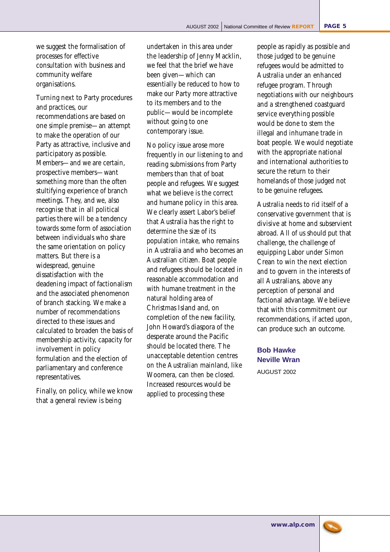we suggest the formalisation of processes for effective consultation with business and community welfare organisations.

Turning next to Party procedures and practices, our recommendations are based on one simple premise—an attempt to make the operation of our Party as attractive, inclusive and participatory as possible. Members—and we are certain, prospective members—want something more than the often stultifying experience of branch meetings. They, and we, also recognise that in all political parties there will be a tendency towards some form of association between individuals who share the same orientation on policy matters. But there is a widespread, genuine dissatisfaction with the deadening impact of factionalism and the associated phenomenon of branch stacking. We make a number of recommendations directed to these issues and calculated to broaden the basis of membership activity, capacity for involvement in policy formulation and the election of parliamentary and conference representatives.

Finally, on policy, while we know that a general review is being

undertaken in this area under the leadership of Jenny Macklin, we feel that the brief we have been given—which can essentially be reduced to how to make our Party more attractive to its members and to the public—would be incomplete without going to one contemporary issue.

No policy issue arose more frequently in our listening to and reading submissions from Party members than that of boat people and refugees. We suggest what we believe is the correct and humane policy in this area. We clearly assert Labor's belief that Australia has the right to determine the size of its population intake, who remains in Australia and who becomes an Australian citizen. Boat people and refugees should be located in reasonable accommodation and with humane treatment in the natural holding area of Christmas Island and, on completion of the new facility, John Howard's diaspora of the desperate around the Pacific should be located there. The unacceptable detention centres on the Australian mainland, like Woomera, can then be closed. Increased resources would be applied to processing these

people as rapidly as possible and those judged to be genuine refugees would be admitted to Australia under an enhanced refugee program. Through negotiations with our neighbours and a strengthened coastguard service everything possible would be done to stem the illegal and inhumane trade in boat people. We would negotiate with the appropriate national and international authorities to secure the return to their homelands of those judged not to be genuine refugees.

Australia needs to rid itself of a conservative government that is divisive at home and subservient abroad. All of us should put that challenge, the challenge of equipping Labor under Simon Crean to win the next election and to govern in the interests of all Australians, above any perception of personal and factional advantage. We believe that with this commitment our recommendations, if acted upon, can produce such an outcome.

### **Bob Hawke Neville Wran** AUGUST 2002

**www.alp.com**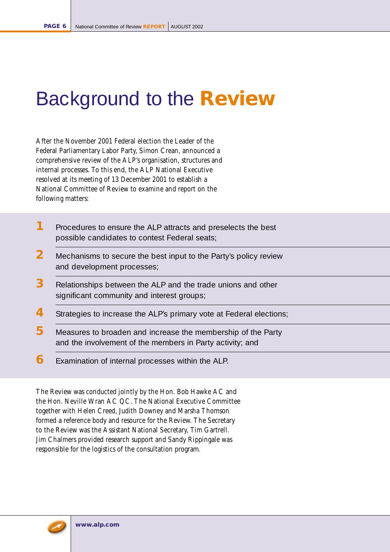## Background to the **Review**

After the November 2001 Federal election the Leader of the Federal Parliamentary Labor Party, Simon Crean, announced a comprehensive review of the ALP's organisation, structures and internal processes. To this end, the ALP National Executive resolved at its meeting of 13 December 2001 to establish a National Committee of Review to examine and report on the following matters:

- **1** Procedures to ensure the ALP attracts and preselects the best possible candidates to contest Federal seats;
- **2** Mechanisms to secure the best input to the Party's policy review and development processes;
- **3** Relationships between the ALP and the trade unions and other significant community and interest groups;
- **4** Strategies to increase the ALP's primary vote at Federal elections;
- **5** Measures to broaden and increase the membership of the Party and the involvement of the members in Party activity; and
- **6** Examination of internal processes within the ALP.

The Review was conducted jointly by the Hon. Bob Hawke AC and the Hon. Neville Wran AC QC. The National Executive Committee together with Helen Creed, Judith Downey and Marsha Thomson formed a reference body and resource for the Review. The Secretary to the Review was the Assistant National Secretary, Tim Gartrell. Jim Chalmers provided research support and Sandy Rippingale was responsible for the logistics of the consultation program.

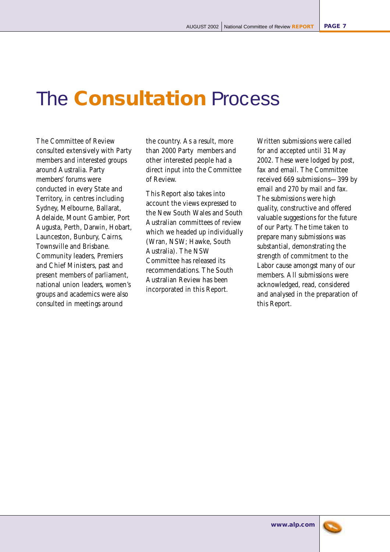## The **Consultation** Process

The Committee of Review consulted extensively with Party members and interested groups around Australia. Party members' forums were conducted in every State and Territory, in centres including Sydney, Melbourne, Ballarat, Adelaide, Mount Gambier, Port Augusta, Perth, Darwin, Hobart, Launceston, Bunbury, Cairns, Townsville and Brisbane. Community leaders, Premiers and Chief Ministers, past and present members of parliament, national union leaders, women's groups and academics were also consulted in meetings around

the country. As a result, more than 2000 Party members and other interested people had a direct input into the Committee of Review.

This Report also takes into account the views expressed to the New South Wales and South Australian committees of review which we headed up individually (Wran, NSW; Hawke, South Australia). The NSW Committee has released its recommendations. The South Australian Review has been incorporated in this Report.

Written submissions were called for and accepted until 31 May 2002. These were lodged by post, fax and email. The Committee received 669 submissions—399 by email and 270 by mail and fax. The submissions were high quality, constructive and offered valuable suggestions for the future of our Party. The time taken to prepare many submissions was substantial, demonstrating the strength of commitment to the Labor cause amongst many of our members. All submissions were acknowledged, read, considered and analysed in the preparation of this Report.

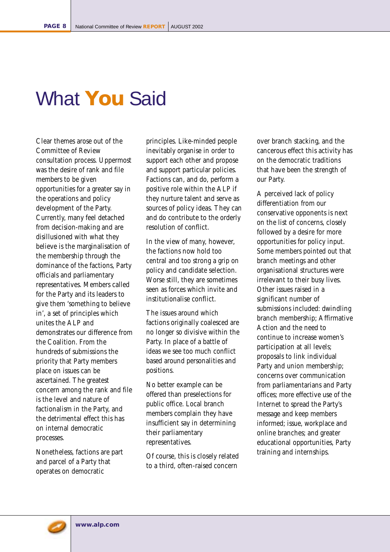## What **You** Said

Clear themes arose out of the Committee of Review consultation process. Uppermost was the desire of rank and file members to be given opportunities for a greater say in the operations and policy development of the Party. Currently, many feel detached from decision-making and are disillusioned with what they believe is the marginalisation of the membership through the dominance of the factions, Party officials and parliamentary representatives. Members called for the Party and its leaders to give them 'something to believe in', a set of principles which unites the ALP and demonstrates our difference from the Coalition. From the hundreds of submissions the priority that Party members place on issues can be ascertained. The greatest concern among the rank and file is the level and nature of factionalism in the Party, and the detrimental effect this has on internal democratic processes.

Nonetheless, factions are part and parcel of a Party that operates on democratic

principles. Like-minded people inevitably organise in order to support each other and propose and support particular policies. Factions can, and do, perform a positive role within the ALP if they nurture talent and serve as sources of policy ideas. They can and do contribute to the orderly resolution of conflict.

In the view of many, however, the factions now hold too central and too strong a grip on policy and candidate selection. Worse still, they are sometimes seen as forces which invite and institutionalise conflict.

The issues around which factions originally coalesced are no longer so divisive within the Party. In place of a battle of ideas we see too much conflict based around personalities and positions.

No better example can be offered than preselections for public office. Local branch members complain they have insufficient say in determining their parliamentary representatives.

Of course, this is closely related to a third, often-raised concern

over branch stacking, and the cancerous effect this activity has on the democratic traditions that have been the strength of our Party.

A perceived lack of policy differentiation from our conservative opponents is next on the list of concerns, closely followed by a desire for more opportunities for policy input. Some members pointed out that branch meetings and other organisational structures were irrelevant to their busy lives. Other issues raised in a significant number of submissions included: dwindling branch membership; Affirmative Action and the need to continue to increase women's participation at all levels; proposals to link individual Party and union membership; concerns over communication from parliamentarians and Party offices; more effective use of the Internet to spread the Party's message and keep members informed; issue, workplace and online branches; and greater educational opportunities, Party training and internships.

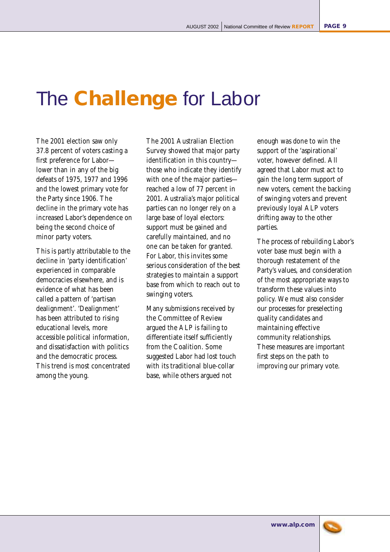## The **Challenge** for Labor

The 2001 election saw only 37.8 percent of voters casting a first preference for Labor lower than in any of the big defeats of 1975, 1977 and 1996 and the lowest primary vote for the Party since 1906. The decline in the primary vote has increased Labor's dependence on being the second choice of minor party voters.

This is partly attributable to the decline in 'party identification' experienced in comparable democracies elsewhere, and is evidence of what has been called a pattern of 'partisan dealignment'. 'Dealignment' has been attributed to rising educational levels, more accessible political information, and dissatisfaction with politics and the democratic process. This trend is most concentrated among the young.

The 2001 Australian Election Survey showed that major party identification in this country those who indicate they identify with one of the major parties reached a low of 77 percent in 2001. Australia's major political parties can no longer rely on a large base of loyal electors: support must be gained and carefully maintained, and no one can be taken for granted. For Labor, this invites some serious consideration of the best strategies to maintain a support base from which to reach out to swinging voters.

Many submissions received by the Committee of Review argued the ALP is failing to differentiate itself sufficiently from the Coalition. Some suggested Labor had lost touch with its traditional blue-collar base, while others argued not

enough was done to win the support of the 'aspirational' voter, however defined. All agreed that Labor must act to gain the long term support of new voters, cement the backing of swinging voters and prevent previously loyal ALP voters drifting away to the other parties.

The process of rebuilding Labor's voter base must begin with a thorough restatement of the Party's values, and consideration of the most appropriate ways to transform these values into policy. We must also consider our processes for preselecting quality candidates and maintaining effective community relationships. These measures are important first steps on the path to improving our primary vote.

**www.alp.com**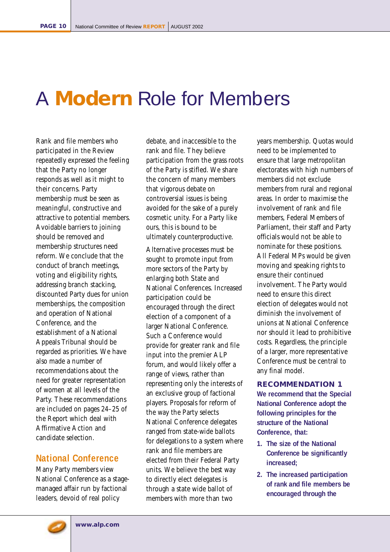## A **Modern** Role for Members

Rank and file members who participated in the Review repeatedly expressed the feeling that the Party no longer responds as well as it might to their concerns. Party membership must be seen as meaningful, constructive and attractive to potential members. Avoidable barriers to joining should be removed and membership structures need reform. We conclude that the conduct of branch meetings, voting and eligibility rights, addressing branch stacking, discounted Party dues for union memberships, the composition and operation of National Conference, and the establishment of a National Appeals Tribunal should be regarded as priorities. We have also made a number of recommendations about the need for greater representation of women at all levels of the Party. These recommendations are included on pages 24–25 of the Report which deal with Affirmative Action and candidate selection.

### **National Conference**

Many Party members view National Conference as a stagemanaged affair run by factional leaders, devoid of real policy

debate, and inaccessible to the rank and file. They believe participation from the grass roots of the Party is stifled. We share the concern of many members that vigorous debate on controversial issues is being avoided for the sake of a purely cosmetic unity. For a Party like ours, this is bound to be ultimately counterproductive.

Alternative processes must be sought to promote input from more sectors of the Party by enlarging both State and National Conferences. Increased participation could be encouraged through the direct election of a component of a larger National Conference. Such a Conference would provide for greater rank and file input into the premier ALP forum, and would likely offer a range of views, rather than representing only the interests of an exclusive group of factional players. Proposals for reform of the way the Party selects National Conference delegates ranged from state-wide ballots for delegations to a system where rank and file members are elected from their Federal Party units. We believe the best way to directly elect delegates is through a state wide ballot of members with more than two

years membership. Quotas would need to be implemented to ensure that large metropolitan electorates with high numbers of members did not exclude members from rural and regional areas. In order to maximise the involvement of rank and file members, Federal Members of Parliament, their staff and Party officials would not be able to nominate for these positions. All Federal MPs would be given moving and speaking rights to ensure their continued involvement. The Party would need to ensure this direct election of delegates would not diminish the involvement of unions at National Conference nor should it lead to prohibitive costs. Regardless, the principle of a larger, more representative Conference must be central to any final model.

### **RECOMMENDATION 1**

**We recommend that the Special National Conference adopt the following principles for the structure of the National Conference, that:**

- **1. The size of the National Conference be significantly increased;**
- **2. The increased participation of rank and file members be encouraged through the**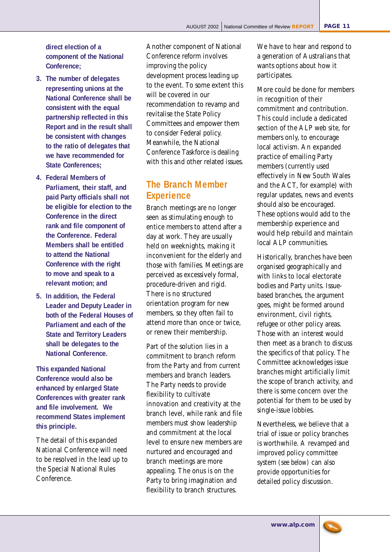**direct election of a component of the National Conference;**

- **3. The number of delegates representing unions at the National Conference shall be consistent with the equal partnership reflected in this Report and in the result shall be consistent with changes to the ratio of delegates that we have recommended for State Conferences;**
- **4. Federal Members of Parliament, their staff, and paid Party officials shall not be eligible for election to the Conference in the direct rank and file component of the Conference. Federal Members shall be entitled to attend the National Conference with the right to move and speak to a relevant motion; and**
- **5. In addition, the Federal Leader and Deputy Leader in both of the Federal Houses of Parliament and each of the State and Territory Leaders shall be delegates to the National Conference.**

**This expanded National Conference would also be enhanced by enlarged State Conferences with greater rank and file involvement. We recommend States implement this principle.**

The detail of this expanded National Conference will need to be resolved in the lead up to the Special National Rules Conference.

Another component of National Conference reform involves improving the policy development process leading up to the event. To some extent this will be covered in our recommendation to revamp and revitalise the State Policy Committees and empower them to consider Federal policy. Meanwhile, the National Conference Taskforce is dealing with this and other related issues.

## **The Branch Member Experience**

Branch meetings are no longer seen as stimulating enough to entice members to attend after a day at work. They are usually held on weeknights, making it inconvenient for the elderly and those with families. Meetings are perceived as excessively formal, procedure-driven and rigid. There is no structured orientation program for new members, so they often fail to attend more than once or twice, or renew their membership.

Part of the solution lies in a commitment to branch reform from the Party and from current members and branch leaders. The Party needs to provide flexibility to cultivate innovation and creativity at the branch level, while rank and file members must show leadership and commitment at the local level to ensure new members are nurtured and encouraged and branch meetings are more appealing. The onus is on the Party to bring imagination and flexibility to branch structures.

We have to hear and respond to a generation of Australians that wants options about how it participates.

More could be done for members in recognition of their commitment and contribution. This could include a dedicated section of the ALP web site, for members only, to encourage local activism. An expanded practice of emailing Party members (currently used effectively in New South Wales and the ACT, for example) with regular updates, news and events should also be encouraged. These options would add to the membership experience and would help rebuild and maintain local ALP communities.

Historically, branches have been organised geographically and with links to local electorate bodies and Party units. Issuebased branches, the argument goes, might be formed around environment, civil rights, refugee or other policy areas. Those with an interest would then meet as a branch to discuss the specifics of that policy. The Committee acknowledges issue branches might artificially limit the scope of branch activity, and there is some concern over the potential for them to be used by single-issue lobbies.

Nevertheless, we believe that a trial of issue or policy branches is worthwhile. A revamped and improved policy committee system *(see below)* can also provide opportunities for detailed policy discussion.

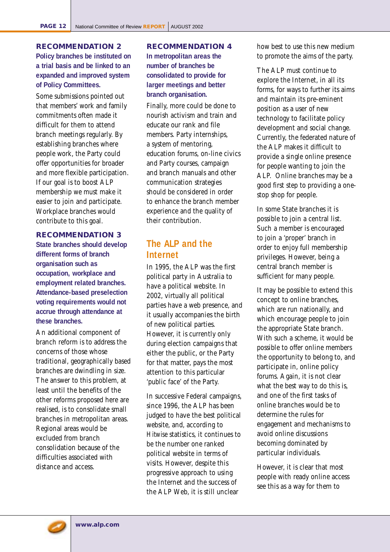### **RECOMMENDATION 2**

**Policy branches be instituted on a trial basis and be linked to an expanded and improved system of Policy Committees.**

Some submissions pointed out that members' work and family commitments often made it difficult for them to attend branch meetings regularly. By establishing branches where people work, the Party could offer opportunities for broader and more flexible participation. If our goal is to boost ALP membership we must make it easier to join and participate. Workplace branches would contribute to this goal.

### **RECOMMENDATION 3**

**State branches should develop different forms of branch organisation such as occupation, workplace and employment related branches. Attendance-based preselection voting requirements would not accrue through attendance at these branches.**

An additional component of branch reform is to address the concerns of those whose traditional, geographically based branches are dwindling in size. The answer to this problem, at least until the benefits of the other reforms proposed here are realised, is to consolidate small branches in metropolitan areas. Regional areas would be excluded from branch consolidation because of the difficulties associated with distance and access.

### **RECOMMENDATION 4**

**In metropolitan areas the number of branches be consolidated to provide for larger meetings and better branch organisation.**

Finally, more could be done to nourish activism and train and educate our rank and file members. Party internships, a system of mentoring, education forums, on-line civics and Party courses, campaign and branch manuals and other communication strategies should be considered in order to enhance the branch member experience and the quality of their contribution.

### **The ALP and the Internet**

In 1995, the ALP was the first political party in Australia to have a political website. In 2002, virtually all political parties have a web presence, and it usually accompanies the birth of new political parties. However, it is currently only during election campaigns that either the public, or the Party for that matter, pays the most attention to this particular 'public face' of the Party.

In successive Federal campaigns, since 1996, the ALP has been judged to have the best political website, and, according to *Hitwise* statistics, it continues to be the number one ranked political website in terms of visits. However, despite this progressive approach to using the Internet and the success of the ALP Web, it is still unclear

how best to use this new medium to promote the aims of the party.

The ALP must continue to explore the Internet, in all its forms, for ways to further its aims and maintain its pre-eminent position as a user of new technology to facilitate policy development and social change. Currently, the federated nature of the ALP makes it difficult to provide a single online presence for people wanting to join the ALP. Online branches may be a good first step to providing a onestop shop for people.

In some State branches it is possible to join a central list. Such a member is encouraged to join a 'proper' branch in order to enjoy full membership privileges. However, being a central branch member is sufficient for many people.

It may be possible to extend this concept to online branches, which are run nationally, and which encourage people to join the appropriate State branch. With such a scheme, it would be possible to offer online members the opportunity to belong to, and participate in, online policy forums. Again, it is not clear what the best way to do this is, and one of the first tasks of online branches would be to determine the rules for engagement and mechanisms to avoid online discussions becoming dominated by particular individuals.

However, it is clear that most people with ready online access see this as a way for them to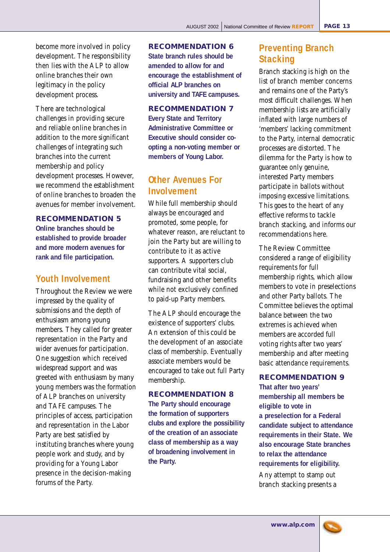become more involved in policy development. The responsibility then lies with the ALP to allow online branches their own legitimacy in the policy development process.

There are technological challenges in providing secure and reliable online branches in addition to the more significant challenges of integrating such branches into the current membership and policy development processes. However, we recommend the establishment of online branches to broaden the avenues for member involvement.

### **RECOMMENDATION 5**

**Online branches should be established to provide broader and more modern avenues for rank and file participation.** 

### **Youth Involvement**

Throughout the Review we were impressed by the quality of submissions and the depth of enthusiasm among young members. They called for greater representation in the Party and wider avenues for participation. One suggestion which received widespread support and was greeted with enthusiasm by many young members was the formation of ALP branches on university and TAFE campuses. The principles of access, participation and representation in the Labor Party are best satisfied by instituting branches where young people work and study, and by providing for a Young Labor presence in the decision-making forums of the Party.

**RECOMMENDATION 6 State branch rules should be amended to allow for and encourage the establishment of official ALP branches on university and TAFE campuses.**

#### **RECOMMENDATION 7**

**Every State and Territory Administrative Committee or Executive should consider coopting a non-voting member or members of Young Labor.**

### **Other Avenues For Involvement**

While full membership should always be encouraged and promoted, some people, for whatever reason, are reluctant to join the Party but are willing to contribute to it as active supporters. A supporters club can contribute vital social, fundraising and other benefits while not exclusively confined to paid-up Party members.

The ALP should encourage the existence of supporters' clubs. An extension of this could be the development of an associate class of membership. Eventually associate members would be encouraged to take out full Party membership.

### **RECOMMENDATION 8**

**The Party should encourage the formation of supporters clubs and explore the possibility of the creation of an associate class of membership as a way of broadening involvement in the Party.**

## **Preventing Branch Stacking**

Branch stacking is high on the list of branch member concerns and remains one of the Party's most difficult challenges. When membership lists are artificially inflated with large numbers of 'members' lacking commitment to the Party, internal democratic processes are distorted. The dilemma for the Party is how to guarantee only genuine, interested Party members participate in ballots without imposing excessive limitations. This goes to the heart of any effective reforms to tackle branch stacking, and informs our recommendations here.

The Review Committee considered a range of eligibility requirements for full membership rights, which allow members to vote in preselections and other Party ballots. The Committee believes the optimal balance between the two extremes is achieved when members are accorded full voting rights after two years' membership and after meeting basic attendance requirements.

### **RECOMMENDATION 9**

**That after two years' membership all members be eligible to vote in a preselection for a Federal candidate subject to attendance requirements in their State. We also encourage State branches to relax the attendance requirements for eligibility.** Any attempt to stamp out branch stacking presents a

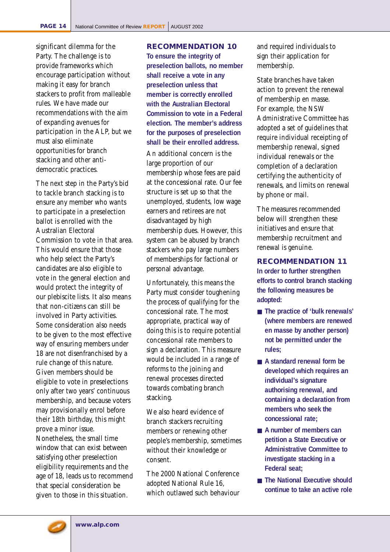significant dilemma for the Party. The challenge is to provide frameworks which encourage participation without making it easy for branch stackers to profit from malleable rules. We have made our recommendations with the aim of expanding avenues for participation in the ALP, but we must also eliminate opportunities for branch stacking and other antidemocratic practices.

The next step in the Party's bid to tackle branch stacking is to ensure any member who wants to participate in a preselection ballot is enrolled with the Australian Electoral Commission to vote in that area. This would ensure that those who help select the Party's candidates are also eligible to vote in the general election and would protect the integrity of our plebiscite lists. It also means that non-citizens can still be involved in Party activities. Some consideration also needs to be given to the most effective way of ensuring members under 18 are not disenfranchised by a rule change of this nature. Given members should be eligible to vote in preselections only after two years' continuous membership, and because voters may provisionally enrol before their 18th birthday, this might prove a minor issue. Nonetheless, the small time window that can exist between satisfying other preselection eligibility requirements and the age of 18, leads us to recommend that special consideration be given to those in this situation.

### **RECOMMENDATION 10**

**To ensure the integrity of preselection ballots, no member shall receive a vote in any preselection unless that member is correctly enrolled with the Australian Electoral Commission to vote in a Federal election. The member's address for the purposes of preselection shall be their enrolled address.**

An additional concern is the large proportion of our membership whose fees are paid at the concessional rate. Our fee structure is set up so that the unemployed, students, low wage earners and retirees are not disadvantaged by high membership dues. However, this system can be abused by branch stackers who pay large numbers of memberships for factional or personal advantage.

Unfortunately, this means the Party must consider toughening the process of qualifying for the concessional rate. The most appropriate, practical way of doing this is to require potential concessional rate members to sign a declaration. This measure would be included in a range of reforms to the joining and renewal processes directed towards combating branch stacking.

We also heard evidence of branch stackers recruiting members or renewing other people's membership, sometimes without their knowledge or consent.

The 2000 National Conference adopted National Rule 16, which outlawed such behaviour

and required individuals to sign their application for membership.

State branches have taken action to prevent the renewal of membership en masse. For example, the NSW Administrative Committee has adopted a set of guidelines that require individual receipting of membership renewal, signed individual renewals or the completion of a declaration certifying the authenticity of renewals, and limits on renewal by phone or mail.

The measures recommended below will strengthen these initiatives and ensure that membership recruitment and renewal is genuine.

**RECOMMENDATION 11**

**In order to further strengthen efforts to control branch stacking the following measures be adopted:**

- **The practice of 'bulk renewals' (where members are renewed en masse by another person) not be permitted under the rules;**
- **A standard renewal form be developed which requires an individual's signature authorising renewal, and containing a declaration from members who seek the concessional rate;**
- **A** number of members can **petition a State Executive or Administrative Committee to investigate stacking in a Federal seat;**
- **The National Executive should continue to take an active role**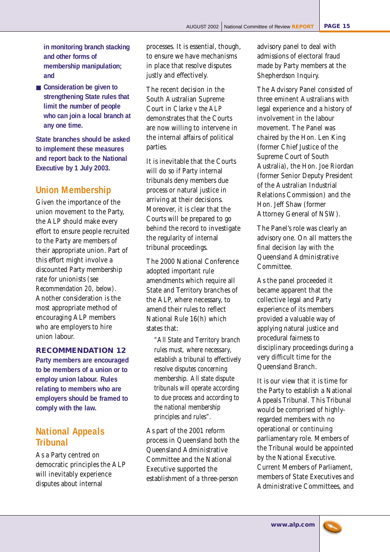**in monitoring branch stacking and other forms of membership manipulation; and**

■ **Consideration be given to strengthening State rules that limit the number of people who can join a local branch at any one time.**

**State branches should be asked to implement these measures and report back to the National Executive by 1 July 2003.**

### **Union Membership**

Given the importance of the union movement to the Party, the ALP should make every effort to ensure people recruited to the Party are members of their appropriate union. Part of this effort might involve a discounted Party membership rate for unionists *(see Recommendation 20, below)*. Another consideration is the most appropriate method of encouraging ALP members who are employers to hire union labour.

### **RECOMMENDATION 12**

**Party members are encouraged to be members of a union or to employ union labour. Rules relating to members who are employers should be framed to comply with the law.**

### **National Appeals Tribunal**

As a Party centred on democratic principles the ALP will inevitably experience disputes about internal

processes. It is essential, though, to ensure we have mechanisms in place that resolve disputes justly and effectively.

The recent decision in the South Australian Supreme Court in *Clarke v the ALP* demonstrates that the Courts are now willing to intervene in the internal affairs of political parties.

It is inevitable that the Courts will do so if Party internal tribunals deny members due process or natural justice in arriving at their decisions. Moreover, it is clear that the Courts will be prepared to go behind the record to investigate the regularity of internal tribunal proceedings.

The 2000 National Conference adopted important rule amendments which require all State and Territory branches of the ALP, where necessary, to amend their rules to reflect National Rule 16(h) which states that:

*"All State and Territory branch rules must, where necessary, establish a tribunal to effectively resolve disputes concerning membership. All state dispute tribunals will operate according to due process and according to the national membership principles and rules".*

As part of the 2001 reform process in Queensland both the Queensland Administrative Committee and the National Executive supported the establishment of a three-person

advisory panel to deal with admissions of electoral fraud made by Party members at the Shepherdson Inquiry.

The Advisory Panel consisted of three eminent Australians with legal experience and a history of involvement in the labour movement. The Panel was chaired by the Hon. Len King (former Chief Justice of the Supreme Court of South Australia), the Hon. Joe Riordan (former Senior Deputy President of the Australian Industrial Relations Commission) and the Hon. Jeff Shaw (former Attorney General of NSW).

The Panel's role was clearly an advisory one. On all matters the final decision lay with the Queensland Administrative Committee.

As the panel proceeded it became apparent that the collective legal and Party experience of its members provided a valuable way of applying natural justice and procedural fairness to disciplinary proceedings during a very difficult time for the Queensland Branch.

It is our view that it is time for the Party to establish a National Appeals Tribunal. This Tribunal would be comprised of highlyregarded members with no operational or continuing parliamentary role. Members of the Tribunal would be appointed by the National Executive. Current Members of Parliament, members of State Executives and Administrative Committees, and

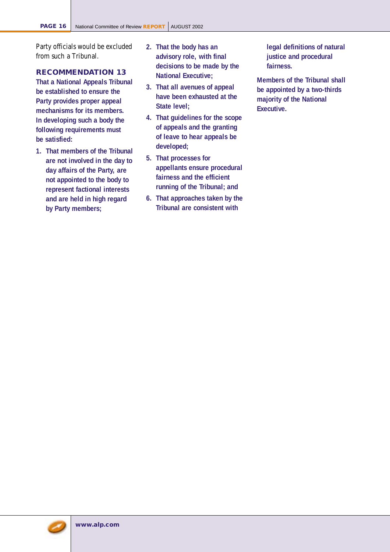Party officials would be excluded from such a Tribunal.

### **RECOMMENDATION 13**

**That a National Appeals Tribunal be established to ensure the Party provides proper appeal mechanisms for its members. In developing such a body the following requirements must be satisfied:**

**1. That members of the Tribunal are not involved in the day to day affairs of the Party, are not appointed to the body to represent factional interests and are held in high regard by Party members;**

- **2. That the body has an advisory role, with final decisions to be made by the National Executive;**
- **3. That all avenues of appeal have been exhausted at the State level;**
- **4. That guidelines for the scope of appeals and the granting of leave to hear appeals be developed;**
- **5. That processes for appellants ensure procedural fairness and the efficient running of the Tribunal; and**
- **6. That approaches taken by the Tribunal are consistent with**

**legal definitions of natural justice and procedural fairness.**

**Members of the Tribunal shall be appointed by a two-thirds majority of the National Executive.**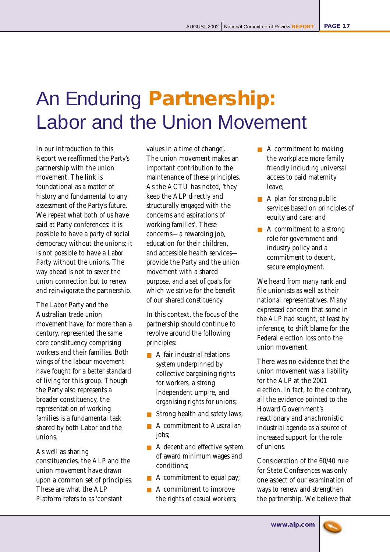# An Enduring **Partnership:** Labor and the Union Movement

In our introduction to this Report we reaffirmed the Party's partnership with the union movement. The link is foundational as a matter of history and fundamental to any assessment of the Party's future. We repeat what both of us have said at Party conferences: it is possible to have a party of social democracy without the unions; it is not possible to have a *Labor* Party without the unions. The way ahead is not to sever the union connection but to renew and reinvigorate the partnership.

The Labor Party and the Australian trade union movement have, for more than a century, represented the same core constituency comprising workers and their families. Both wings of the labour movement have fought for a better standard of living for this group. Though the Party also represents a broader constituency, the representation of working families is a fundamental task shared by both Labor and the unions.

As well as sharing constituencies, the ALP and the union movement have drawn upon a common set of principles. These are what the ALP Platform refers to as 'constant

values in a time of change'. The union movement makes an important contribution to the maintenance of these principles. As the ACTU has noted, 'they keep the ALP directly and structurally engaged with the concerns and aspirations of working families'. These concerns—a rewarding job, education for their children, and accessible health services provide the Party and the union movement with a shared purpose, and a set of goals for which we strive for the benefit of our shared constituency.

In this context, the focus of the partnership should continue to revolve around the following principles:

- A fair industrial relations system underpinned by collective bargaining rights for workers, a strong independent umpire, and organising rights for unions;
- Strong health and safety laws;
- A commitment to Australian jobs;
- A decent and effective system of award minimum wages and conditions;
- A commitment to equal pay;
- A commitment to improve the rights of casual workers;
- A commitment to making the workplace more family friendly including universal access to paid maternity leave;
- A plan for strong public services based on principles of equity and care; and
- A commitment to a strong role for government and industry policy and a commitment to decent, secure employment.

We heard from many rank and file unionists as well as their national representatives. Many expressed concern that some in the ALP had sought, at least by inference, to shift blame for the Federal election loss onto the union movement.

There was no evidence that the union movement was a liability for the ALP at the 2001 election. In fact, to the contrary, all the evidence pointed to the Howard Government's reactionary and anachronistic industrial agenda as a source of increased support for the role of unions.

Consideration of the 60/40 rule for State Conferences was only one aspect of our examination of ways to renew and strengthen the partnership. We believe that

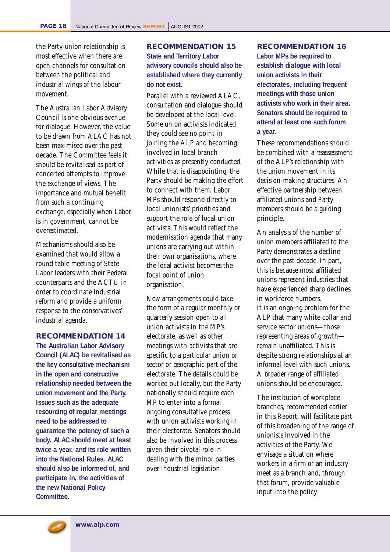the Party-union relationship is most effective when there are open channels for consultation between the political and industrial wings of the labour movement.

The Australian Labor Advisory Council is one obvious avenue for dialogue. However, the value to be drawn from ALAC has not been maximised over the past decade. The Committee feels it should be revitalised as part of concerted attempts to improve the exchange of views. The importance and mutual benefit from such a continuing exchange, especially when Labor is in government, cannot be overestimated.

Mechanisms should also be examined that would allow a round table meeting of State Labor leaders with their Federal counterparts and the ACTU in order to coordinate industrial reform and provide a uniform response to the conservatives' industrial agenda.

#### **RECOMMENDATION 14**

**The Australian Labor Advisory Council (ALAC) be revitalised as the key consultative mechanism in the open and constructive relationship needed between the union movement and the Party. Issues such as the adequate resourcing of regular meetings need to be addressed to guarantee the potency of such a body. ALAC should meet at least twice a year, and its role written into the National Rules. ALAC should also be informed of, and participate in, the activities of the new National Policy Committee.**

## **RECOMMENDATION 15**

**State and Territory Labor advisory councils should also be established where they currently do not exist.** 

Parallel with a reviewed ALAC, consultation and dialogue should be developed at the local level. Some union activists indicated they could see no point in joining the ALP and becoming involved in local branch activities as presently conducted. While that is disappointing, the Party should be making the effort to connect with them. Labor MPs should respond directly to local unionists' priorities and support the role of local union activists. This would reflect the modernisation agenda that many unions are carrying out within their own organisations, where the local activist becomes the focal point of union organisation.

New arrangements could take the form of a regular monthly or quarterly session open to all union activists in the MP's electorate, as well as other meetings with activists that are specific to a particular union or sector or geographic part of the electorate. The details could be worked out locally, but the Party nationally should require each MP to enter into a formal ongoing consultative process with union activists working in their electorate. Senators should also be involved in this process given their pivotal role in dealing with the minor parties over industrial legislation.

### **RECOMMENDATION 16**

**Labor MPs be required to establish dialogue with local union activists in their electorates, including frequent meetings with those union activists who work in their area. Senators should be required to attend at least one such forum a year.**

These recommendations should be combined with a reassessment of the ALP's relationship with the union movement in its decision-making structures. An effective partnership between affiliated unions and Party members should be a guiding principle.

An analysis of the number of union members affiliated to the Party demonstrates a decline over the past decade. In part, this is because most affiliated unions represent industries that have experienced sharp declines in workforce numbers. It is an ongoing problem for the ALP that many white collar and service sector unions—those representing areas of growth remain unaffiliated. This is despite strong relationships at an informal level with such unions. A broader range of affiliated unions should be encouraged.

The institution of workplace branches, recommended earlier in this Report, will facilitate part of this broadening of the range of unionists involved in the activities of the Party. We envisage a situation where workers in a firm or an industry meet as a branch and, through that forum, provide valuable input into the policy

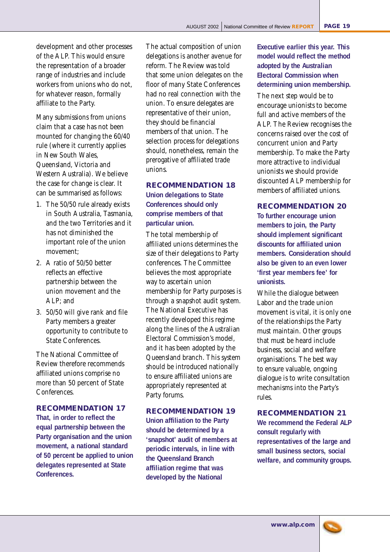development and other processes of the ALP. This would ensure the representation of a broader range of industries and include workers from unions who do not, for whatever reason, formally affiliate to the Party.

Many submissions from unions claim that a case has not been mounted for changing the 60/40 rule (where it currently applies in New South Wales, Queensland, Victoria and Western Australia). We believe the case for change is clear. It can be summarised as follows:

- 1. The 50/50 rule already exists in South Australia, Tasmania, and the two Territories and it has not diminished the important role of the union movement;
- 2. A ratio of 50/50 better reflects an effective partnership between the union movement and the  $AI.P.$  and
- 3. 50/50 will give rank and file Party members a greater opportunity to contribute to State Conferences.

The National Committee of Review therefore recommends affiliated unions comprise no more than 50 percent of State **Conferences** 

### **RECOMMENDATION 17**

**That, in order to reflect the equal partnership between the Party organisation and the union movement, a national standard of 50 percent be applied to union delegates represented at State Conferences.**

The actual composition of union delegations is another avenue for reform. The Review was told that some union delegates on the floor of many State Conferences had no real connection with the union. To ensure delegates are representative of their union, they should be financial members of that union. The selection process for delegations should, nonetheless, remain the prerogative of affiliated trade unions.

### **RECOMMENDATION 18**

**Union delegations to State Conferences should only comprise members of that particular union.**

The total membership of affiliated unions determines the size of their delegations to Party conferences. The Committee believes the most appropriate way to ascertain union membership for Party purposes is through a snapshot audit system. The National Executive has recently developed this regime along the lines of the Australian Electoral Commission's model, and it has been adopted by the Queensland branch. This system should be introduced nationally to ensure affiliated unions are appropriately represented at Party forums.

### **RECOMMENDATION 19**

**Union affiliation to the Party should be determined by a 'snapshot' audit of members at periodic intervals, in line with the Queensland Branch affiliation regime that was developed by the National**

**Executive earlier this year. This model would reflect the method adopted by the Australian Electoral Commission when determining union membership.**

The next step would be to encourage unionists to become full and active members of the ALP. The Review recognises the concerns raised over the cost of concurrent union and Party membership. To make the Party more attractive to individual unionists we should provide discounted ALP membership for members of affiliated unions.

### **RECOMMENDATION 20**

**To further encourage union members to join, the Party should implement significant discounts for affiliated union members. Consideration should also be given to an even lower 'first year members fee' for unionists.** 

While the dialogue between Labor and the trade union movement is vital, it is only one of the relationships the Party must maintain. Other groups that must be heard include business, social and welfare organisations. The best way to ensure valuable, ongoing dialogue is to write consultation mechanisms into the Party's rules.

### **RECOMMENDATION 21**

**We recommend the Federal ALP consult regularly with representatives of the large and small business sectors, social welfare, and community groups.**

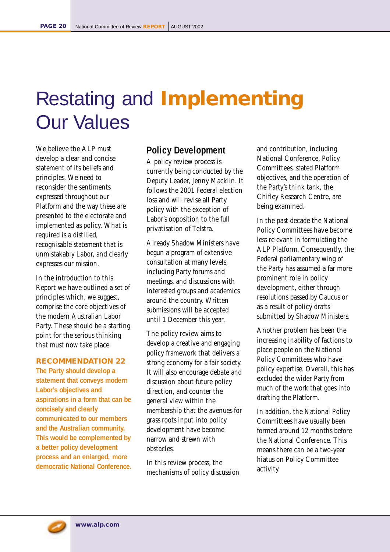# Restating and **Implementing** Our Values

We believe the ALP must develop a clear and concise statement of its beliefs and principles. We need to reconsider the sentiments expressed throughout our Platform and the way these are presented to the electorate and implemented as policy. What is required is a distilled, recognisable statement that is unmistakably Labor, and clearly expresses our mission.

In the introduction to this Report we have outlined a set of principles which, we suggest, comprise the core objectives of the modern Australian Labor Party. These should be a starting point for the serious thinking that must now take place.

### **RECOMMENDATION 22**

**The Party should develop a statement that conveys modern Labor's objectives and aspirations in a form that can be concisely and clearly communicated to our members and the Australian community. This would be complemented by a better policy development process and an enlarged, more democratic National Conference.** 

### **Policy Development**

A policy review process is currently being conducted by the Deputy Leader, Jenny Macklin. It follows the 2001 Federal election loss and will revise all Party policy with the exception of Labor's opposition to the full privatisation of Telstra.

Already Shadow Ministers have begun a program of extensive consultation at many levels, including Party forums and meetings, and discussions with interested groups and academics around the country. Written submissions will be accepted until 1 December this year.

The policy review aims to develop a creative and engaging policy framework that delivers a strong economy for a fair society. It will also encourage debate and discussion about future policy direction, and counter the general view within the membership that the avenues for grass roots input into policy development have become narrow and strewn with obstacles.

In this review process, the mechanisms of policy discussion and contribution, including National Conference, Policy Committees, stated Platform objectives, and the operation of the Party's think tank, the Chifley Research Centre, are being examined.

In the past decade the National Policy Committees have become less relevant in formulating the ALP Platform. Consequently, the Federal parliamentary wing of the Party has assumed a far more prominent role in policy development, either through resolutions passed by Caucus or as a result of policy drafts submitted by Shadow Ministers.

Another problem has been the increasing inability of factions to place people on the National Policy Committees who have policy expertise. Overall, this has excluded the wider Party from much of the work that goes into drafting the Platform.

In addition, the National Policy Committees have usually been formed around 12 months before the National Conference. This means there can be a two-year hiatus on Policy Committee activity.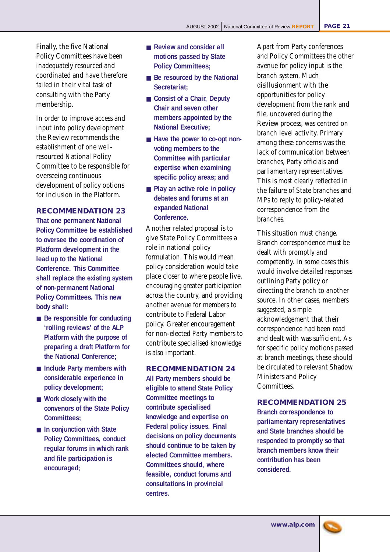Finally, the five National Policy Committees have been inadequately resourced and coordinated and have therefore failed in their vital task of consulting with the Party membership.

In order to improve access and input into policy development the Review recommends the establishment of one wellresourced National Policy Committee to be responsible for overseeing continuous development of policy options for inclusion in the Platform.

### **RECOMMENDATION 23**

**That one permanent National Policy Committee be established to oversee the coordination of Platform development in the lead up to the National Conference. This Committee shall replace the existing system of non-permanent National Policy Committees. This new body shall:**

- **Be responsible for conducting 'rolling reviews' of the ALP Platform with the purpose of preparing a draft Platform for the National Conference;**
- **Include Party members with considerable experience in policy development;**
- Work closely with the **convenors of the State Policy Committees;**
- In conjunction with State **Policy Committees, conduct regular forums in which rank and file participation is encouraged;**
- **Review and consider all motions passed by State Policy Committees;**
- **Be resourced by the National Secretariat;**
- **Consist of a Chair, Deputy Chair and seven other members appointed by the National Executive;**
- Have the power to co-opt non**voting members to the Committee with particular expertise when examining specific policy areas; and**
- **Play an active role in policy debates and forums at an expanded National Conference.**

Another related proposal is to give State Policy Committees a role in national policy formulation. This would mean policy consideration would take place closer to where people live, encouraging greater participation across the country, and providing another avenue for members to contribute to Federal Labor policy. Greater encouragement for non-elected Party members to contribute specialised knowledge is also important.

### **RECOMMENDATION 24**

**All Party members should be eligible to attend State Policy Committee meetings to contribute specialised knowledge and expertise on Federal policy issues. Final decisions on policy documents should continue to be taken by elected Committee members. Committees should, where feasible, conduct forums and consultations in provincial centres.**

Apart from Party conferences and Policy Committees the other avenue for policy input is the branch system. Much disillusionment with the opportunities for policy development from the rank and file, uncovered during the Review process, was centred on branch level activity. Primary among these concerns was the lack of communication between branches, Party officials and parliamentary representatives. This is most clearly reflected in the failure of State branches and MPs to reply to policy-related correspondence from the branches.

This situation must change. Branch correspondence must be dealt with promptly and competently. In some cases this would involve detailed responses outlining Party policy or directing the branch to another source. In other cases, members suggested, a simple acknowledgement that their correspondence had been read and dealt with was sufficient. As for specific policy motions passed at branch meetings, these should be circulated to relevant Shadow Ministers and Policy Committees.

### **RECOMMENDATION 25**

**Branch correspondence to parliamentary representatives and State branches should be responded to promptly so that branch members know their contribution has been considered.**

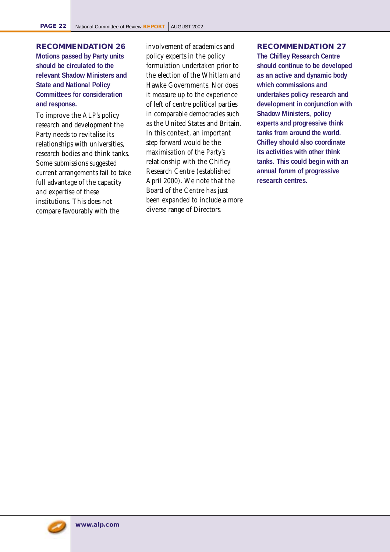### **RECOMMENDATION 26**

**Motions passed by Party units should be circulated to the relevant Shadow Ministers and State and National Policy Committees for consideration and response.**

To improve the ALP's policy research and development the Party needs to revitalise its relationships with universities, research bodies and think tanks. Some submissions suggested current arrangements fail to take full advantage of the capacity and expertise of these institutions. This does not compare favourably with the

involvement of academics and policy experts in the policy formulation undertaken prior to the election of the Whitlam and Hawke Governments. Nor does it measure up to the experience of left of centre political parties in comparable democracies such as the United States and Britain. In this context, an important step forward would be the maximisation of the Party's relationship with the Chifley Research Centre (established April 2000). We note that the Board of the Centre has just been expanded to include a more diverse range of Directors.

### **RECOMMENDATION 27**

**The Chifley Research Centre should continue to be developed as an active and dynamic body which commissions and undertakes policy research and development in conjunction with Shadow Ministers, policy experts and progressive think tanks from around the world. Chifley should also coordinate its activities with other think tanks. This could begin with an annual forum of progressive research centres.**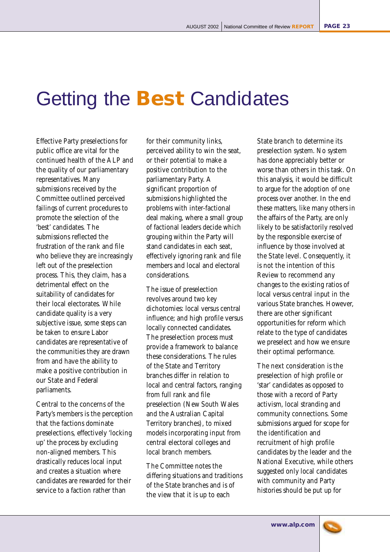## Getting the **Best** Candidates

Effective Party preselections for public office are vital for the continued health of the ALP and the quality of our parliamentary representatives. Many submissions received by the Committee outlined perceived failings of current procedures to promote the selection of the 'best' candidates. The submissions reflected the frustration of the rank and file who believe they are increasingly left out of the preselection process. This, they claim, has a detrimental effect on the suitability of candidates for their local electorates. While candidate quality is a very subjective issue, some steps can be taken to ensure Labor candidates are representative of the communities they are drawn from and have the ability to make a positive contribution in our State and Federal parliaments.

Central to the concerns of the Party's members is the perception that the factions dominate preselections, effectively 'locking up' the process by excluding non-aligned members. This drastically reduces local input and creates a situation where candidates are rewarded for their service to a faction rather than

for their community links, perceived ability to win the seat, or their potential to make a positive contribution to the parliamentary Party. A significant proportion of submissions highlighted the problems with inter-factional deal making, where a small group of factional leaders decide which grouping within the Party will stand candidates in each seat, effectively ignoring rank and file members and local and electoral considerations.

The issue of preselection revolves around two key dichotomies: local versus central influence; and high profile versus locally connected candidates. The preselection process must provide a framework to balance these considerations. The rules of the State and Territory branches differ in relation to local and central factors, ranging from full rank and file preselection (New South Wales and the Australian Capital Territory branches), to mixed models incorporating input from central electoral colleges and local branch members.

The Committee notes the differing situations and traditions of the State branches and is of the view that it is up to each

State branch to determine its preselection system. No system has done appreciably better or worse than others in this task. On this analysis, it would be difficult to argue for the adoption of one process over another. In the end these matters, like many others in the affairs of the Party, are only likely to be satisfactorily resolved by the responsible exercise of influence by those involved at the State level. Consequently, it is not the intention of this Review to recommend any changes to the existing ratios of local versus central input in the various State branches. However, there are other significant opportunities for reform which relate to the type of candidates we preselect and how we ensure their optimal performance.

The next consideration is the preselection of high profile or 'star' candidates as opposed to those with a record of Party activism, local stranding and community connections. Some submissions argued for scope for the identification and recruitment of high profile candidates by the leader and the National Executive, while others suggested only local candidates with community and Party histories should be put up for

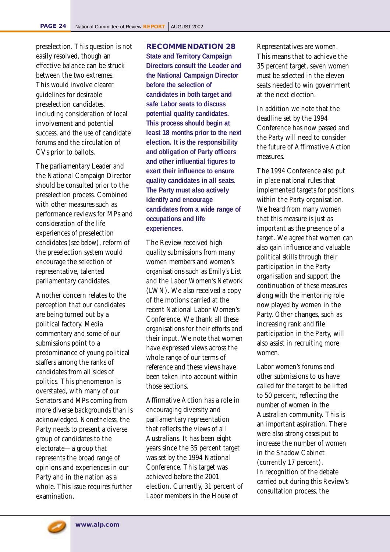preselection. This question is not easily resolved, though an effective balance can be struck between the two extremes. This would involve clearer guidelines for desirable preselection candidates, including consideration of local involvement and potential success, and the use of candidate forums and the circulation of CVs prior to ballots.

The parliamentary Leader and the National Campaign Director should be consulted prior to the preselection process. Combined with other measures such as performance reviews for MPs and consideration of the life experiences of preselection candidates *(see below)*, reform of the preselection system would encourage the selection of representative, talented parliamentary candidates.

Another concern relates to the perception that our candidates are being turned out by a political factory. Media commentary and some of our submissions point to a predominance of young political staffers among the ranks of candidates from all sides of politics. This phenomenon is overstated, with many of our Senators and MPs coming from more diverse backgrounds than is acknowledged. Nonetheless, the Party needs to present a diverse group of candidates to the electorate—a group that represents the broad range of opinions and experiences in our Party and in the nation as a whole. This issue requires further examination.

### **RECOMMENDATION 28**

**State and Territory Campaign Directors consult the Leader and the National Campaign Director before the selection of candidates in both target and safe Labor seats to discuss potential quality candidates. This process should begin at least 18 months prior to the next election. It is the responsibility and obligation of Party officers and other influential figures to exert their influence to ensure quality candidates in all seats. The Party must also actively identify and encourage candidates from a wide range of occupations and life experiences.**

The Review received high quality submissions from many women members and women's organisations such as Emily's List and the Labor Women's Network (LWN). We also received a copy of the motions carried at the recent National Labor Women's Conference. We thank all these organisations for their efforts and their input. We note that women have expressed views across the whole range of our terms of reference and these views have been taken into account within those sections.

Affirmative Action has a role in encouraging diversity and parliamentary representation that reflects the views of all Australians. It has been eight years since the 35 percent target was set by the 1994 National Conference. This target was achieved before the 2001 election. Currently, 31 percent of Labor members in the House of

Representatives are women. This means that to achieve the 35 percent target, seven women must be selected in the eleven seats needed to win government at the next election.

In addition we note that the deadline set by the 1994 Conference has now passed and the Party will need to consider the future of Affirmative Action measures.

The 1994 Conference also put in place national rules that implemented targets for positions within the Party organisation. We heard from many women that this measure is just as important as the presence of a target. We agree that women can also gain influence and valuable political skills through their participation in the Party organisation and support the continuation of these measures along with the mentoring role now played by women in the Party. Other changes, such as increasing rank and file participation in the Party, will also assist in recruiting more women.

Labor women's forums and other submissions to us have called for the target to be lifted to 50 percent, reflecting the number of women in the Australian community. This is an important aspiration. There were also strong cases put to increase the number of women in the Shadow Cabinet (currently 17 percent). In recognition of the debate carried out during this Review's consultation process, the

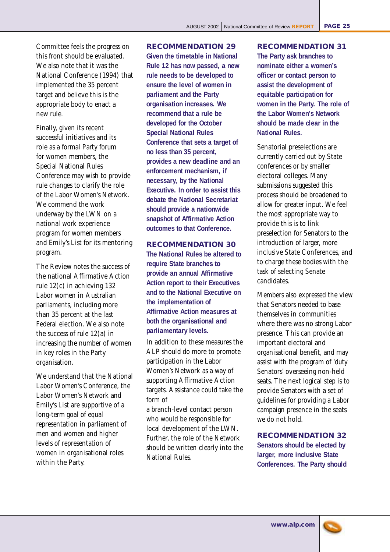Committee feels the progress on this front should be evaluated. We also note that it was the National Conference (1994) that implemented the 35 percent target and believe this is the appropriate body to enact a new rule.

Finally, given its recent successful initiatives and its role as a formal Party forum for women members, the Special National Rules Conference may wish to provide rule changes to clarify the role of the Labor Women's Network. We commend the work underway by the LWN on a national work experience program for women members and Emily's List for its mentoring program.

The Review notes the success of the national Affirmative Action rule 12(c) in achieving 132 Labor women in Australian parliaments, including more than 35 percent at the last Federal election. We also note the success of rule 12(a) in increasing the number of women in key roles in the Party organisation.

We understand that the National Labor Women's Conference, the Labor Women's Network and Emily's List are supportive of a long-term goal of equal representation in parliament of men and women and higher levels of representation of women in organisational roles within the Party.

### **RECOMMENDATION 29**

**Given the timetable in National Rule 12 has now passed, a new rule needs to be developed to ensure the level of women in parliament and the Party organisation increases. We recommend that a rule be developed for the October Special National Rules Conference that sets a target of no less than 35 percent, provides a new deadline and an enforcement mechanism, if necessary, by the National Executive. In order to assist this debate the National Secretariat should provide a nationwide snapshot of Affirmative Action outcomes to that Conference.**

#### **RECOMMENDATION 30**

**The National Rules be altered to require State branches to provide an annual Affirmative Action report to their Executives and to the National Executive on the implementation of Affirmative Action measures at both the organisational and parliamentary levels.** 

In addition to these measures the ALP should do more to promote participation in the Labor Women's Network as a way of supporting Affirmative Action targets. Assistance could take the form of

a branch-level contact person who would be responsible for local development of the LWN. Further, the role of the Network should be written clearly into the National Rules.

### **RECOMMENDATION 31**

**The Party ask branches to nominate either a women's officer or contact person to assist the development of equitable participation for women in the Party. The role of the Labor Women's Network should be made clear in the National Rules.**

Senatorial preselections are currently carried out by State conferences or by smaller electoral colleges. Many submissions suggested this process should be broadened to allow for greater input. We feel the most appropriate way to provide this is to link preselection for Senators to the introduction of larger, more inclusive State Conferences, and to charge these bodies with the task of selecting Senate candidates.

Members also expressed the view that Senators needed to base themselves in communities where there was no strong Labor presence. This can provide an important electoral and organisational benefit, and may assist with the program of 'duty Senators' overseeing non-held seats. The next logical step is to provide Senators with a set of guidelines for providing a Labor campaign presence in the seats we do not hold.

### **RECOMMENDATION 32**

**Senators should be elected by larger, more inclusive State Conferences. The Party should**

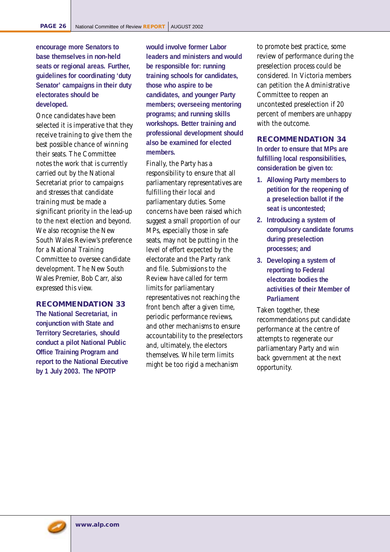**encourage more Senators to base themselves in non-held seats or regional areas. Further, guidelines for coordinating 'duty Senator' campaigns in their duty electorates should be developed.**

Once candidates have been selected it is imperative that they receive training to give them the best possible chance of winning their seats. The Committee notes the work that is currently carried out by the National Secretariat prior to campaigns and stresses that candidate training must be made a significant priority in the lead-up to the next election and beyond. We also recognise the New South Wales Review's preference for a National Training Committee to oversee candidate development. The New South Wales Premier, Bob Carr, also expressed this view.

### **RECOMMENDATION 33**

**The National Secretariat, in conjunction with State and Territory Secretaries, should conduct a pilot National Public Office Training Program and report to the National Executive by 1 July 2003. The NPOTP**

**would involve former Labor leaders and ministers and would be responsible for: running training schools for candidates, those who aspire to be candidates, and younger Party members; overseeing mentoring programs; and running skills workshops. Better training and professional development should also be examined for elected members.**

Finally, the Party has a responsibility to ensure that all parliamentary representatives are fulfilling their local and parliamentary duties. Some concerns have been raised which suggest a small proportion of our MPs, especially those in safe seats, may not be putting in the level of effort expected by the electorate and the Party rank and file. Submissions to the Review have called for term limits for parliamentary representatives not reaching the front bench after a given time, periodic performance reviews, and other mechanisms to ensure accountability to the preselectors and, ultimately, the electors themselves. While term limits might be too rigid a mechanism

to promote best practice, some review of performance during the preselection process could be considered. In Victoria members can petition the Administrative Committee to reopen an uncontested preselection if 20 percent of members are unhappy with the outcome.

### **RECOMMENDATION 34**

**In order to ensure that MPs are fulfilling local responsibilities, consideration be given to:**

- **1. Allowing Party members to petition for the reopening of a preselection ballot if the seat is uncontested;**
- **2. Introducing a system of compulsory candidate forums during preselection processes; and**
- **3. Developing a system of reporting to Federal electorate bodies the activities of their Member of Parliament**

Taken together, these recommendations put candidate performance at the centre of attempts to regenerate our parliamentary Party and win back government at the next opportunity.

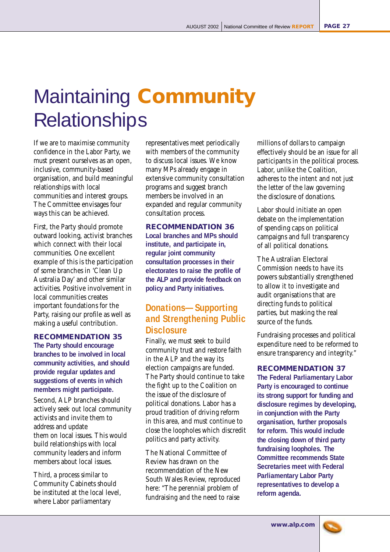# Maintaining **Community Relationships**

If we are to maximise community confidence in the Labor Party, we must present ourselves as an open, inclusive, community-based organisation, and build meaningful relationships with local communities and interest groups. The Committee envisages four ways this can be achieved.

First, the Party should promote outward looking, activist branches which connect with their local communities. One excellent example of this is the participation of some branches in 'Clean Up Australia Day' and other similar activities. Positive involvement in local communities creates important foundations for the Party, raising our profile as well as making a useful contribution.

#### **RECOMMENDATION 35**

**The Party should encourage branches to be involved in local community activities, and should provide regular updates and suggestions of events in which members might participate.** Second, ALP branches should actively seek out local community activists and invite them to address and update them on local issues. This would build relationships with local community leaders and inform members about local issues.

Third, a process similar to Community Cabinets should be instituted at the local level, where Labor parliamentary

representatives meet periodically with members of the community to discuss local issues. We know many MPs already engage in extensive community consultation programs and suggest branch members be involved in an expanded and regular community consultation process.

**RECOMMENDATION 36 Local branches and MPs should institute, and participate in, regular joint community consultation processes in their electorates to raise the profile of the ALP and provide feedback on policy and Party initiatives.**

### **Donations—Supporting and Strengthening Public Disclosure**

Finally, we must seek to build community trust and restore faith in the ALP and the way its election campaigns are funded. The Party should continue to take the fight up to the Coalition on the issue of the disclosure of political donations. Labor has a proud tradition of driving reform in this area, and must continue to close the loopholes which discredit politics and party activity.

The National Committee of Review has drawn on the recommendation of the New South Wales Review, reproduced here: "The perennial problem of fundraising and the need to raise

millions of dollars to campaign effectively should be an issue for all participants in the political process. Labor, unlike the Coalition, adheres to the intent and not just the letter of the law governing the disclosure of donations.

Labor should initiate an open debate on the implementation of spending caps on political campaigns and full transparency of all political donations.

The Australian Electoral Commission needs to have its powers substantially strengthened to allow it to investigate and audit organisations that are directing funds to political parties, but masking the real source of the funds.

Fundraising processes and political expenditure need to be reformed to ensure transparency and integrity."

### **RECOMMENDATION 37**

**The Federal Parliamentary Labor Party is encouraged to continue its strong support for funding and disclosure regimes by developing, in conjunction with the Party organisation, further proposals for reform. This would include the closing down of third party fundraising loopholes. The Committee recommends State Secretaries meet with Federal Parliamentary Labor Party representatives to develop a reform agenda.**

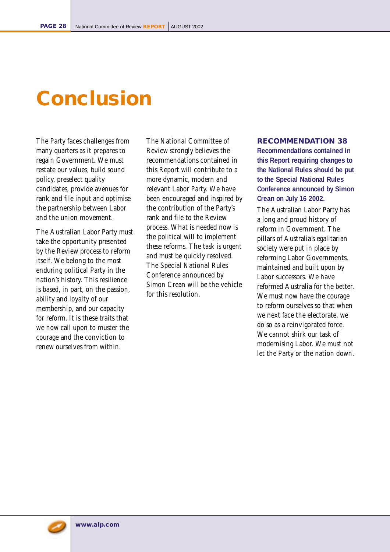## **Conclusion**

The Party faces challenges from many quarters as it prepares to regain Government. We must restate our values, build sound policy, preselect quality candidates, provide avenues for rank and file input and optimise the partnership between Labor and the union movement.

The Australian Labor Party must take the opportunity presented by the Review process to reform itself. We belong to the most enduring political Party in the nation's history. This resilience is based, in part, on the passion, ability and loyalty of our membership, and our capacity for reform. It is these traits that we now call upon to muster the courage and the conviction to renew ourselves from within.

The National Committee of Review strongly believes the recommendations contained in this Report will contribute to a more dynamic, modern and relevant Labor Party. We have been encouraged and inspired by the contribution of the Party's rank and file to the Review process. What is needed now is the political will to implement these reforms. The task is urgent and must be quickly resolved. The Special National Rules Conference announced by Simon Crean will be the vehicle for this resolution.

#### **RECOMMENDATION 38**

**Recommendations contained in this Report requiring changes to the National Rules should be put to the Special National Rules Conference announced by Simon Crean on July 16 2002.**

The Australian Labor Party has a long and proud history of reform in Government. The pillars of Australia's egalitarian society were put in place by reforming Labor Governments, maintained and built upon by Labor successors. We have reformed Australia for the better. We must now have the courage to reform ourselves so that when we next face the electorate, we do so as a reinvigorated force. We cannot shirk our task of modernising Labor. We must not let the Party or the nation down.

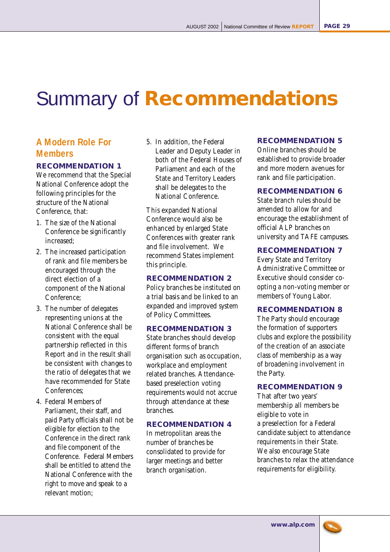# Summary of **Recommendations**

### **A Modern Role For Members**

### **RECOMMENDATION 1**

We recommend that the Special National Conference adopt the following principles for the structure of the National Conference, that:

- 1. The size of the National Conference be significantly increased;
- 2. The increased participation of rank and file members be encouraged through the direct election of a component of the National Conference;
- 3. The number of delegates representing unions at the National Conference shall be consistent with the equal partnership reflected in this Report and in the result shall be consistent with changes to the ratio of delegates that we have recommended for State Conferences;
- 4. Federal Members of Parliament, their staff, and paid Party officials shall not be eligible for election to the Conference in the direct rank and file component of the Conference. Federal Members shall be entitled to attend the National Conference with the right to move and speak to a relevant motion;

5. In addition, the Federal Leader and Deputy Leader in both of the Federal Houses of Parliament and each of the State and Territory Leaders shall be delegates to the National Conference.

This expanded National Conference would also be enhanced by enlarged State Conferences with greater rank and file involvement. We recommend States implement this principle.

### **RECOMMENDATION 2**

Policy branches be instituted on a trial basis and be linked to an expanded and improved system of Policy Committees.

#### **RECOMMENDATION 3**

State branches should develop different forms of branch organisation such as occupation, workplace and employment related branches. Attendancebased preselection voting requirements would not accrue through attendance at these branches.

### **RECOMMENDATION 4**

In metropolitan areas the number of branches be consolidated to provide for larger meetings and better branch organisation.

### **RECOMMENDATION 5**

Online branches should be established to provide broader and more modern avenues for rank and file participation.

### **RECOMMENDATION 6**

State branch rules should be amended to allow for and encourage the establishment of official ALP branches on university and TAFE campuses.

#### **RECOMMENDATION 7**

Every State and Territory Administrative Committee or Executive should consider coopting a non-voting member or members of Young Labor.

### **RECOMMENDATION 8**

The Party should encourage the formation of supporters clubs and explore the possibility of the creation of an associate class of membership as a way of broadening involvement in the Party.

### **RECOMMENDATION 9**

That after two years' membership all members be eligible to vote in a preselection for a Federal candidate subject to attendance requirements in their State. We also encourage State branches to relax the attendance requirements for eligibility.

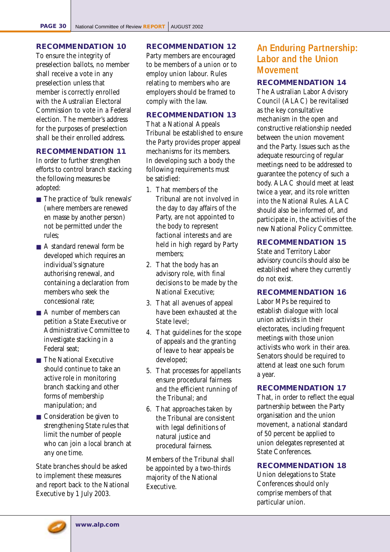### **RECOMMENDATION 10**

To ensure the integrity of preselection ballots, no member shall receive a vote in any preselection unless that member is correctly enrolled with the Australian Electoral Commission to vote in a Federal election. The member's address for the purposes of preselection shall be their enrolled address.

#### **RECOMMENDATION 11**

In order to further strengthen efforts to control branch stacking the following measures be adopted:

- The practice of 'bulk renewals' (where members are renewed en masse by another person) not be permitted under the rules;
- A standard renewal form be developed which requires an individual's signature authorising renewal, and containing a declaration from members who seek the concessional rate;
- A number of members can petition a State Executive or Administrative Committee to investigate stacking in a Federal seat;
- The National Executive should continue to take an active role in monitoring branch stacking and other forms of membership manipulation; and
- Consideration be given to strengthening State rules that limit the number of people who can join a local branch at any one time.

State branches should be asked to implement these measures and report back to the National Executive by 1 July 2003.

### **RECOMMENDATION 12**

Party members are encouraged to be members of a union or to employ union labour. Rules relating to members who are employers should be framed to comply with the law.

### **RECOMMENDATION 13**

That a National Appeals Tribunal be established to ensure the Party provides proper appeal mechanisms for its members. In developing such a body the following requirements must be satisfied:

- 1. That members of the Tribunal are not involved in the day to day affairs of the Party, are not appointed to the body to represent factional interests and are held in high regard by Party members;
- 2. That the body has an advisory role, with final decisions to be made by the National Executive;
- 3. That all avenues of appeal have been exhausted at the State level;
- 4. That guidelines for the scope of appeals and the granting of leave to hear appeals be developed;
- 5. That processes for appellants ensure procedural fairness and the efficient running of the Tribunal; and
- 6. That approaches taken by the Tribunal are consistent with legal definitions of natural justice and procedural fairness.

Members of the Tribunal shall be appointed by a two-thirds majority of the National Executive.

## **An Enduring Partnership: Labor and the Union Movement**

### **RECOMMENDATION 14**

The Australian Labor Advisory Council (ALAC) be revitalised as the key consultative mechanism in the open and constructive relationship needed between the union movement and the Party. Issues such as the adequate resourcing of regular meetings need to be addressed to guarantee the potency of such a body. ALAC should meet at least twice a year, and its role written into the National Rules. ALAC should also be informed of, and participate in, the activities of the new National Policy Committee.

### **RECOMMENDATION 15**

State and Territory Labor advisory councils should also be established where they currently do not exist.

### **RECOMMENDATION 16**

Labor MPs be required to establish dialogue with local union activists in their electorates, including frequent meetings with those union activists who work in their area. Senators should be required to attend at least one such forum a year.

#### **RECOMMENDATION 17**

That, in order to reflect the equal partnership between the Party organisation and the union movement, a national standard of 50 percent be applied to union delegates represented at State Conferences.

### **RECOMMENDATION 18**

Union delegations to State Conferences should only comprise members of that particular union.

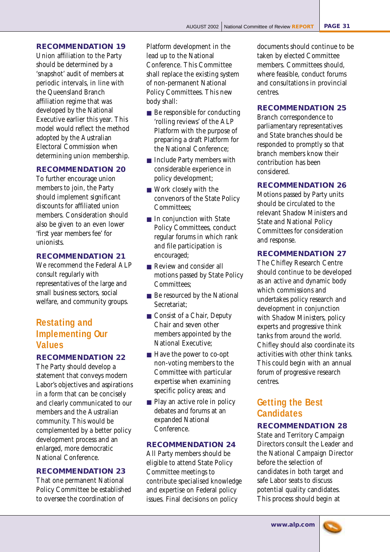### **RECOMMENDATION 19**

Union affiliation to the Party should be determined by a 'snapshot' audit of members at periodic intervals, in line with the Queensland Branch affiliation regime that was developed by the National Executive earlier this year. This model would reflect the method adopted by the Australian Electoral Commission when determining union membership.

### **RECOMMENDATION 20**

To further encourage union members to join, the Party should implement significant discounts for affiliated union members. Consideration should also be given to an even lower 'first year members fee' for unionists.

### **RECOMMENDATION 21**

We recommend the Federal ALP consult regularly with representatives of the large and small business sectors, social welfare, and community groups.

## **Restating and Implementing Our Values**

### **RECOMMENDATION 22**

The Party should develop a statement that conveys modern Labor's objectives and aspirations in a form that can be concisely and clearly communicated to our members and the Australian community. This would be complemented by a better policy development process and an enlarged, more democratic National Conference.

### **RECOMMENDATION 23**

That one permanent National Policy Committee be established to oversee the coordination of

Platform development in the lead up to the National Conference. This Committee shall replace the existing system of non-permanent National Policy Committees. This new body shall:

- Be responsible for conducting 'rolling reviews' of the ALP Platform with the purpose of preparing a draft Platform for the National Conference;
- Include Party members with considerable experience in policy development;
- Work closely with the convenors of the State Policy Committees;
- In conjunction with State Policy Committees, conduct regular forums in which rank and file participation is encouraged;
- Review and consider all motions passed by State Policy Committees;
- Be resourced by the National Secretariat;
- Consist of a Chair, Deputy Chair and seven other members appointed by the National Executive;
- Have the power to co-opt non-voting members to the Committee with particular expertise when examining specific policy areas; and
- Play an active role in policy debates and forums at an expanded National Conference.

### **RECOMMENDATION 24**

All Party members should be eligible to attend State Policy Committee meetings to contribute specialised knowledge and expertise on Federal policy issues. Final decisions on policy

documents should continue to be taken by elected Committee members. Committees should, where feasible, conduct forums and consultations in provincial centres.

### **RECOMMENDATION 25**

Branch correspondence to parliamentary representatives and State branches should be responded to promptly so that branch members know their contribution has been considered.

### **RECOMMENDATION 26**

Motions passed by Party units should be circulated to the relevant Shadow Ministers and State and National Policy Committees for consideration and response.

### **RECOMMENDATION 27**

The Chifley Research Centre should continue to be developed as an active and dynamic body which commissions and undertakes policy research and development in conjunction with Shadow Ministers, policy experts and progressive think tanks from around the world. Chifley should also coordinate its activities with other think tanks. This could begin with an annual forum of progressive research centres.

## **Getting the Best Candidates**

### **RECOMMENDATION 28**

State and Territory Campaign Directors consult the Leader and the National Campaign Director before the selection of candidates in both target and safe Labor seats to discuss potential quality candidates. This process should begin at